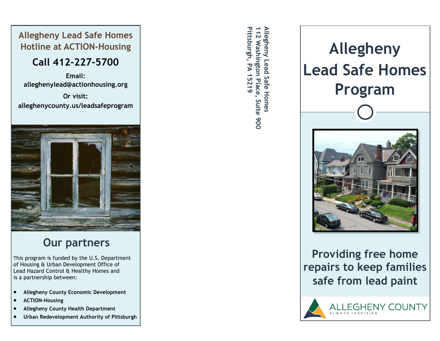#### **Allegheny Lead Safe Homes Hotline at ACTION-Housing**

### **Call 412-227-5700**

**Email: [alleghenylead@actionhousing.org](mailto:alleghenylead@actionhousing.org)**

**Or visit: alleghenycounty.us/leadsafeprogram**



### **Our partners**

This program is funded by the U.S. Department of Housing & Urban Development Office of Lead Hazard Control & Healthy Homes and is a partnership between:

- **Allegheny County Economic Development**
- **ACTION-Housing**
- **Allegheny County Health Department**
- **Urban Redevelopment Authority of Pittsburgh**

**Allegheny Lead Safe Homes Pittsburgh, PA 15219** Pittsburgh, PA 15219 112 Washington Place, Suite 900 Allegheny Lead Safe Homes **112 Washington Place, Suite 900**



**Providing free home repairs to keep families safe from lead paint**